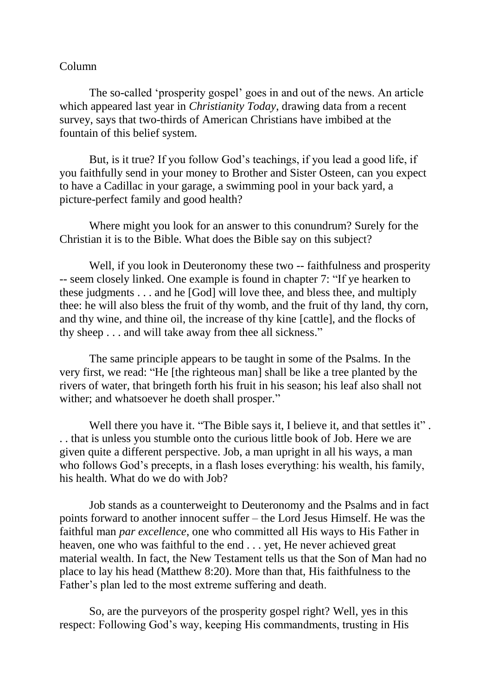## Column

The so-called 'prosperity gospel' goes in and out of the news. An article which appeared last year in *Christianity Today*, drawing data from a recent survey, says that two-thirds of American Christians have imbibed at the fountain of this belief system.

But, is it true? If you follow God's teachings, if you lead a good life, if you faithfully send in your money to Brother and Sister Osteen, can you expect to have a Cadillac in your garage, a swimming pool in your back yard, a picture-perfect family and good health?

Where might you look for an answer to this conundrum? Surely for the Christian it is to the Bible. What does the Bible say on this subject?

Well, if you look in Deuteronomy these two -- faithfulness and prosperity -- seem closely linked. One example is found in chapter 7: "If ye hearken to these judgments . . . and he [God] will love thee, and bless thee, and multiply thee: he will also bless the fruit of thy womb, and the fruit of thy land, thy corn, and thy wine, and thine oil, the increase of thy kine [cattle], and the flocks of thy sheep . . . and will take away from thee all sickness."

The same principle appears to be taught in some of the Psalms. In the very first, we read: "He [the righteous man] shall be like a tree planted by the rivers of water, that bringeth forth his fruit in his season; his leaf also shall not wither; and whatsoever he doeth shall prosper."

Well there you have it. "The Bible says it, I believe it, and that settles it". . . that is unless you stumble onto the curious little book of Job. Here we are given quite a different perspective. Job, a man upright in all his ways, a man who follows God's precepts, in a flash loses everything: his wealth, his family, his health. What do we do with Job?

Job stands as a counterweight to Deuteronomy and the Psalms and in fact points forward to another innocent suffer – the Lord Jesus Himself. He was the faithful man *par excellence*, one who committed all His ways to His Father in heaven, one who was faithful to the end . . . yet, He never achieved great material wealth. In fact, the New Testament tells us that the Son of Man had no place to lay his head (Matthew 8:20). More than that, His faithfulness to the Father's plan led to the most extreme suffering and death.

So, are the purveyors of the prosperity gospel right? Well, yes in this respect: Following God's way, keeping His commandments, trusting in His